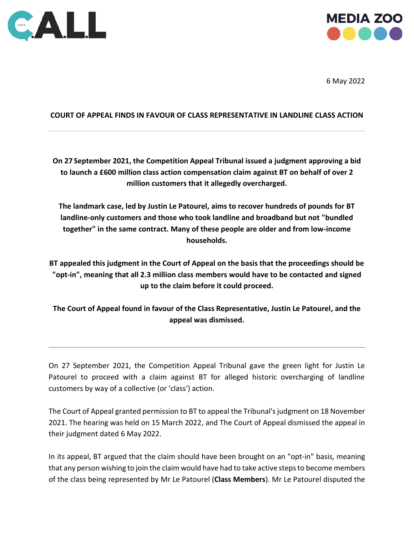



6 May 2022

## **COURT OF APPEAL FINDS IN FAVOUR OF CLASS REPRESENTATIVE IN LANDLINE CLASS ACTION**

**On 27 September 2021, the Competition Appeal Tribunal issued a judgment approving a bid to launch a £600 million class action compensation claim against BT on behalf of over 2 million customers that it allegedly overcharged.**

**The landmark case, led by Justin Le Patourel, aims to recover hundreds of pounds for BT landline-only customers and those who took landline and broadband but not "bundled together" in the same contract. Many of these people are older and from low-income households.**

**BT appealed this judgment in the Court of Appeal on the basis that the proceedings should be "opt-in", meaning that all 2.3 million class members would have to be contacted and signed up to the claim before it could proceed.** 

**The Court of Appeal found in favour of the Class Representative, Justin Le Patourel, and the appeal was dismissed.** 

On 27 September 2021, the Competition Appeal Tribunal gave the green light for Justin Le Patourel to proceed with a claim against BT for alleged historic overcharging of landline customers by way of a collective (or 'class') action.

The Court of Appeal granted permission to BT to appeal the Tribunal's judgment on 18 November 2021. The hearing was held on 15 March 2022, and The Court of Appeal dismissed the appeal in their judgment dated 6 May 2022.

In its appeal, BT argued that the claim should have been brought on an "opt-in" basis, meaning that any person wishing to join the claim would have had to take active steps to become members of the class being represented by Mr Le Patourel (**Class Members**). Mr Le Patourel disputed the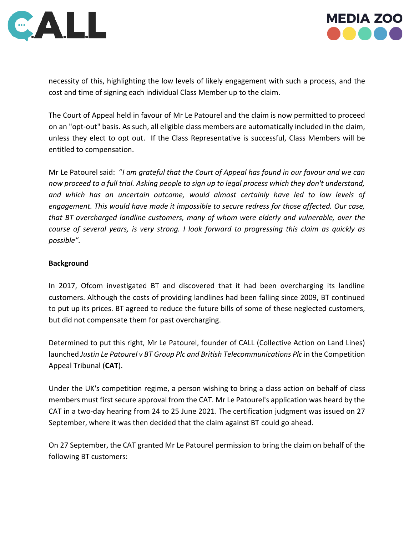



necessity of this, highlighting the low levels of likely engagement with such a process, and the cost and time of signing each individual Class Member up to the claim.

The Court of Appeal held in favour of Mr Le Patourel and the claim is now permitted to proceed on an "opt-out" basis. As such, all eligible class members are automatically included in the claim, unless they elect to opt out. If the Class Representative is successful, Class Members will be entitled to compensation.

Mr Le Patourel said: "*I am grateful that the Court of Appeal has found in our favour and we can now proceed to a full trial. Asking people to sign up to legal process which they don't understand, and which has an uncertain outcome, would almost certainly have led to low levels of engagement. This would have made it impossible to secure redress for those affected. Our case, that BT overcharged landline customers, many of whom were elderly and vulnerable, over the course of several years, is very strong. I look forward to progressing this claim as quickly as possible".* 

# **Background**

In 2017, Ofcom investigated BT and discovered that it had been overcharging its landline customers. Although the costs of providing landlines had been falling since 2009, BT continued to put up its prices. BT agreed to reduce the future bills of some of these neglected customers, but did not compensate them for past overcharging.

Determined to put this right, Mr Le Patourel, founder of CALL (Collective Action on Land Lines) launched *Justin Le Patourel v BT Group Plc and British Telecommunications Plc* in the Competition Appeal Tribunal (**CAT**).

Under the UK's competition regime, a person wishing to bring a class action on behalf of class members must first secure approval from the CAT. Mr Le Patourel's application was heard by the CAT in a two-day hearing from 24 to 25 June 2021. The certification judgment was issued on 27 September, where it was then decided that the claim against BT could go ahead.

On 27 September, the CAT granted Mr Le Patourel permission to bring the claim on behalf of the following BT customers: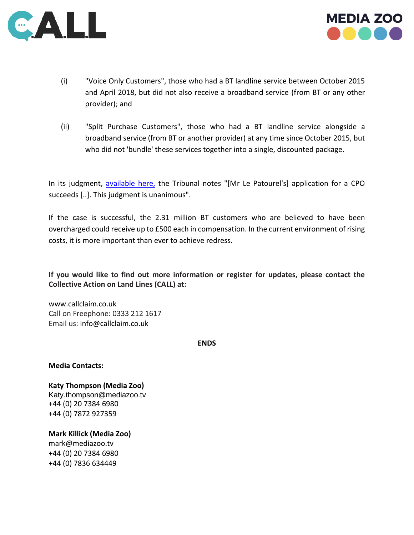



- (i) "Voice Only Customers", those who had a BT landline service between October 2015 and April 2018, but did not also receive a broadband service (from BT or any other provider); and
- (ii) "Split Purchase Customers", those who had a BT landline service alongside a broadband service (from BT or another provider) at any time since October 2015, but who did not 'bundle' these services together into a single, discounted package.

In its judgment, [available here,](https://www.catribunal.org.uk/sites/default/files/2021-09/20210927_Case_1381_JLP_BT_Judgment.pdf) the Tribunal notes "[Mr Le Patourel's] application for a CPO succeeds [..]. This judgment is unanimous".

If the case is successful, the 2.31 million BT customers who are believed to have been overcharged could receive up to £500 each in compensation. In the current environment of rising costs, it is more important than ever to achieve redress.

**If you would like to find out more information or register for updates, please contact the Collective Action on Land Lines (CALL) at:**

[www.callclaim.co.uk](http://www.callclaim.co.uk/) Call on Freephone: 0333 212 1617 Email us: [info@callclaim.co.uk](mailto:info@callclaim.co.uk)

**ENDS**

**Media Contacts:**

**Katy Thompson (Media Zoo)**  [Katy.thompson@mediazoo.tv](mailto:Katy.thompson@mediazoo.tv) +44 (0) 20 7384 6980 +44 (0) 7872 927359

**Mark Killick (Media Zoo)** [mark@mediazoo.tv](mailto:mark@mediazoo.tv)  +44 (0) 20 7384 6980 +44 (0) 7836 634449